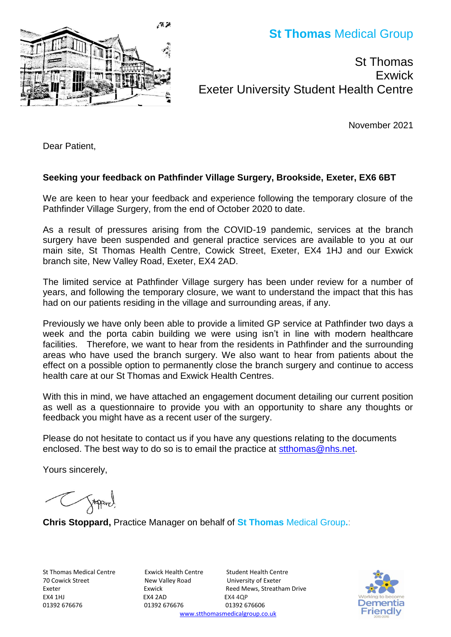**St Thomas** Medical Group

St Thomas **Exwick** Exeter University Student Health Centre

November 2021

Dear Patient,

### **Seeking your feedback on Pathfinder Village Surgery, Brookside, Exeter, EX6 6BT**

We are keen to hear your feedback and experience following the temporary closure of the Pathfinder Village Surgery, from the end of October 2020 to date.

As a result of pressures arising from the COVID-19 pandemic, services at the branch surgery have been suspended and general practice services are available to you at our main site, St Thomas Health Centre, Cowick Street, Exeter, EX4 1HJ and our Exwick branch site, New Valley Road, Exeter, EX4 2AD.

The limited service at Pathfinder Village surgery has been under review for a number of years, and following the temporary closure, we want to understand the impact that this has had on our patients residing in the village and surrounding areas, if any.

Previously we have only been able to provide a limited GP service at Pathfinder two days a week and the porta cabin building we were using isn't in line with modern healthcare facilities. Therefore, we want to hear from the residents in Pathfinder and the surrounding areas who have used the branch surgery. We also want to hear from patients about the effect on a possible option to permanently close the branch surgery and continue to access health care at our St Thomas and Exwick Health Centres.

With this in mind, we have attached an engagement document detailing our current position as well as a questionnaire to provide you with an opportunity to share any thoughts or feedback you might have as a recent user of the surgery.

Please do not hesitate to contact us if you have any questions relating to the documents enclosed. The best way to do so is to email the practice at [stthomas@nhs.net.](mailto:stthomas@nhs.net)

Yours sincerely,

Toppard.

**Chris Stoppard,** Practice Manager on behalf of **St Thomas** Medical Group**.**:

St Thomas Medical Centre Exwick Health Centre Student Health Centre 70 Cowick Street New Valley Road University of Exeter EX4 1HJ EX4 2AD EX4 1HJ 01392 676676 01392 676676 01392 676606

Exeter **Exeter** Exwick **Exeter** Exeter **Exeter** Exeter **Exeter** Exeter **EXEC** [www.stthomasmedicalgroup.co.uk](http://www.stthomasmedicalgroup.co.uk/)



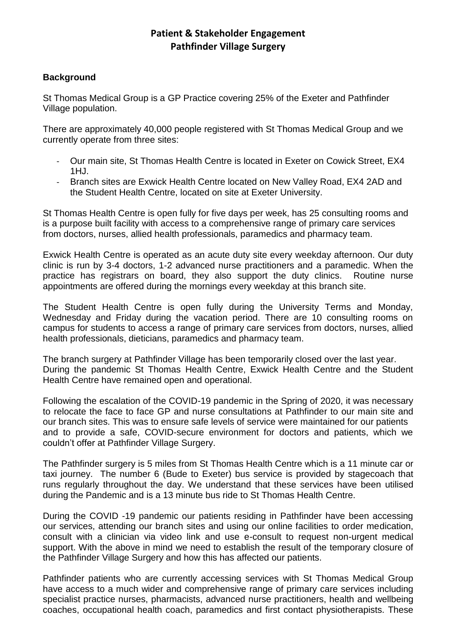## **Patient & Stakeholder Engagement Pathfinder Village Surgery**

### **Background**

St Thomas Medical Group is a GP Practice covering 25% of the Exeter and Pathfinder Village population.

There are approximately 40,000 people registered with St Thomas Medical Group and we currently operate from three sites:

- Our main site, St Thomas Health Centre is located in Exeter on Cowick Street, EX4  $1H<sub>1</sub>$
- Branch sites are Exwick Health Centre located on New Valley Road, EX4 2AD and the Student Health Centre, located on site at Exeter University.

St Thomas Health Centre is open fully for five days per week, has 25 consulting rooms and is a purpose built facility with access to a comprehensive range of primary care services from doctors, nurses, allied health professionals, paramedics and pharmacy team.

Exwick Health Centre is operated as an acute duty site every weekday afternoon. Our duty clinic is run by 3-4 doctors, 1-2 advanced nurse practitioners and a paramedic. When the practice has registrars on board, they also support the duty clinics. Routine nurse appointments are offered during the mornings every weekday at this branch site.

The Student Health Centre is open fully during the University Terms and Monday, Wednesday and Friday during the vacation period. There are 10 consulting rooms on campus for students to access a range of primary care services from doctors, nurses, allied health professionals, dieticians, paramedics and pharmacy team.

The branch surgery at Pathfinder Village has been temporarily closed over the last year. During the pandemic St Thomas Health Centre, Exwick Health Centre and the Student Health Centre have remained open and operational.

Following the escalation of the COVID-19 pandemic in the Spring of 2020, it was necessary to relocate the face to face GP and nurse consultations at Pathfinder to our main site and our branch sites. This was to ensure safe levels of service were maintained for our patients and to provide a safe, COVID-secure environment for doctors and patients, which we couldn't offer at Pathfinder Village Surgery.

The Pathfinder surgery is 5 miles from St Thomas Health Centre which is a 11 minute car or taxi journey. The number 6 (Bude to Exeter) bus service is provided by stagecoach that runs regularly throughout the day. We understand that these services have been utilised during the Pandemic and is a 13 minute bus ride to St Thomas Health Centre.

During the COVID -19 pandemic our patients residing in Pathfinder have been accessing our services, attending our branch sites and using our online facilities to order medication, consult with a clinician via video link and use e-consult to request non-urgent medical support. With the above in mind we need to establish the result of the temporary closure of the Pathfinder Village Surgery and how this has affected our patients.

Pathfinder patients who are currently accessing services with St Thomas Medical Group have access to a much wider and comprehensive range of primary care services including specialist practice nurses, pharmacists, advanced nurse practitioners, health and wellbeing coaches, occupational health coach, paramedics and first contact physiotherapists. These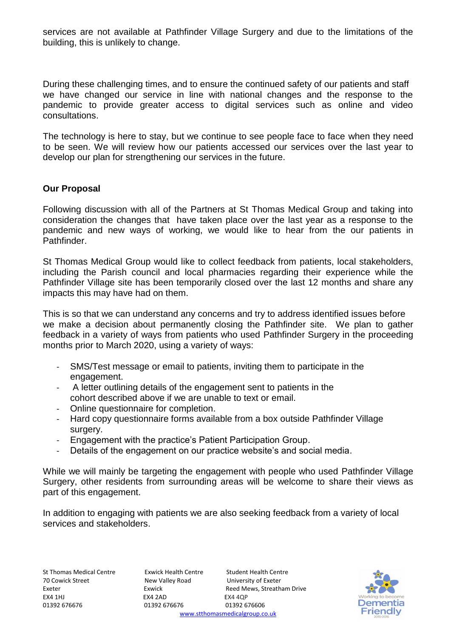services are not available at Pathfinder Village Surgery and due to the limitations of the building, this is unlikely to change.

During these challenging times, and to ensure the continued safety of our patients and staff we have changed our service in line with national changes and the response to the pandemic to provide greater access to digital services such as online and video consultations.

The technology is here to stay, but we continue to see people face to face when they need to be seen. We will review how our patients accessed our services over the last year to develop our plan for strengthening our services in the future.

### **Our Proposal**

Following discussion with all of the Partners at St Thomas Medical Group and taking into consideration the changes that have taken place over the last year as a response to the pandemic and new ways of working, we would like to hear from the our patients in Pathfinder.

St Thomas Medical Group would like to collect feedback from patients, local stakeholders, including the Parish council and local pharmacies regarding their experience while the Pathfinder Village site has been temporarily closed over the last 12 months and share any impacts this may have had on them.

This is so that we can understand any concerns and try to address identified issues before we make a decision about permanently closing the Pathfinder site. We plan to gather feedback in a variety of ways from patients who used Pathfinder Surgery in the proceeding months prior to March 2020, using a variety of ways:

- SMS/Test message or email to patients, inviting them to participate in the engagement.
- A letter outlining details of the engagement sent to patients in the cohort described above if we are unable to text or email.
- Online questionnaire for completion.
- Hard copy questionnaire forms available from a box outside Pathfinder Village surgery.
- Engagement with the practice's Patient Participation Group.
- Details of the engagement on our practice website's and social media.

While we will mainly be targeting the engagement with people who used Pathfinder Village Surgery, other residents from surrounding areas will be welcome to share their views as part of this engagement.

In addition to engaging with patients we are also seeking feedback from a variety of local services and stakeholders.

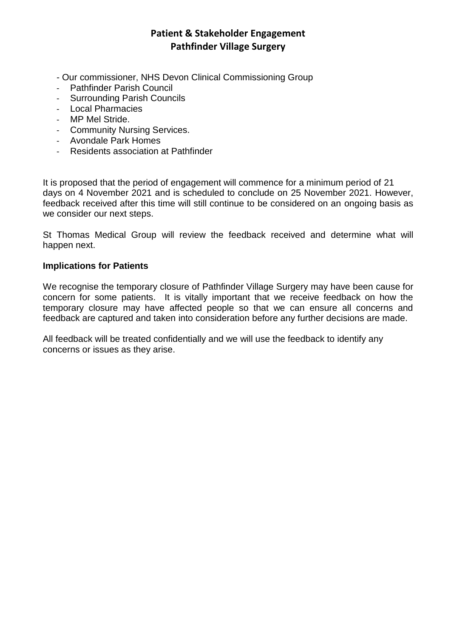## **Patient & Stakeholder Engagement Pathfinder Village Surgery**

- Our commissioner, NHS Devon Clinical Commissioning Group
- Pathfinder Parish Council
- Surrounding Parish Councils
- Local Pharmacies
- MP Mel Stride.
- Community Nursing Services.
- Avondale Park Homes
- Residents association at Pathfinder

It is proposed that the period of engagement will commence for a minimum period of 21 days on 4 November 2021 and is scheduled to conclude on 25 November 2021. However, feedback received after this time will still continue to be considered on an ongoing basis as we consider our next steps.

St Thomas Medical Group will review the feedback received and determine what will happen next.

#### **Implications for Patients**

We recognise the temporary closure of Pathfinder Village Surgery may have been cause for concern for some patients. It is vitally important that we receive feedback on how the temporary closure may have affected people so that we can ensure all concerns and feedback are captured and taken into consideration before any further decisions are made.

All feedback will be treated confidentially and we will use the feedback to identify any concerns or issues as they arise.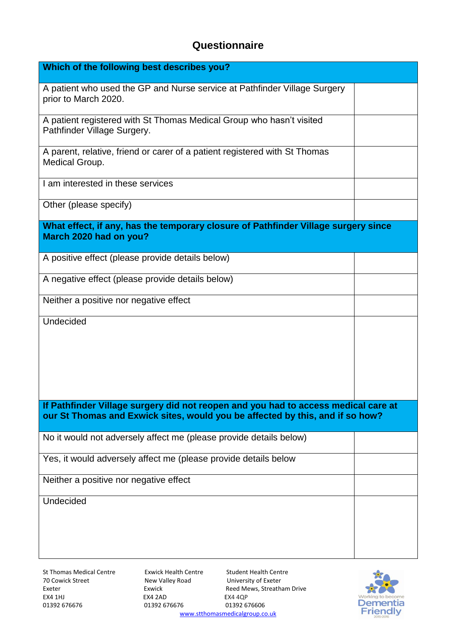# **Questionnaire**

| Which of the following best describes you?                                                                                                                          |  |  |
|---------------------------------------------------------------------------------------------------------------------------------------------------------------------|--|--|
| A patient who used the GP and Nurse service at Pathfinder Village Surgery<br>prior to March 2020.                                                                   |  |  |
| A patient registered with St Thomas Medical Group who hasn't visited<br>Pathfinder Village Surgery.                                                                 |  |  |
| A parent, relative, friend or carer of a patient registered with St Thomas<br>Medical Group.                                                                        |  |  |
| I am interested in these services                                                                                                                                   |  |  |
| Other (please specify)                                                                                                                                              |  |  |
| What effect, if any, has the temporary closure of Pathfinder Village surgery since<br>March 2020 had on you?                                                        |  |  |
| A positive effect (please provide details below)                                                                                                                    |  |  |
| A negative effect (please provide details below)                                                                                                                    |  |  |
| Neither a positive nor negative effect                                                                                                                              |  |  |
| Undecided                                                                                                                                                           |  |  |
| If Pathfinder Village surgery did not reopen and you had to access medical care at<br>our St Thomas and Exwick sites, would you be affected by this, and if so how? |  |  |
| No it would not adversely affect me (please provide details below)                                                                                                  |  |  |
| Yes, it would adversely affect me (please provide details below                                                                                                     |  |  |
| Neither a positive nor negative effect                                                                                                                              |  |  |
| Undecided                                                                                                                                                           |  |  |

St Thomas Medical Centre Exwick Health Centre Student Health Centre<br>
70 Cowick Street **Exercise Student Student Student Centre** Student Student Student Student Student Student Studen 70 Cowick Street **1988** New Valley Road University of Exeter<br>
Exeter Exeter Exeter Exeter Exeter **Reed Mews**, Streatha EX4 1HJ EX4 2AD EX4 4QP

01392 676676

Reed Mews, Streatham Drive [www.stthomasmedicalgroup.co.uk](http://www.stthomasmedicalgroup.co.uk/)